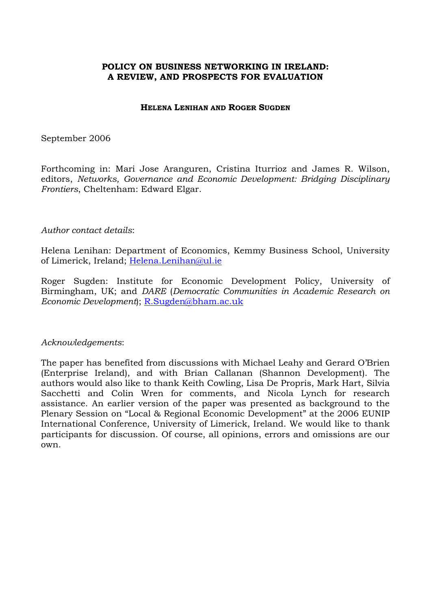# **POLICY ON BUSINESS NETWORKING IN IRELAND: A REVIEW, AND PROSPECTS FOR EVALUATION**

#### **HELENA LENIHAN AND ROGER SUGDEN**

#### September 2006

Forthcoming in: Mari Jose Aranguren, Cristina Iturrioz and James R. Wilson, editors, *Networks, Governance and Economic Development: Bridging Disciplinary Frontiers*, Cheltenham: Edward Elgar.

#### *Author contact details*:

Helena Lenihan: Department of Economics, Kemmy Business School, University of Limerick, Ireland; [Helena.Lenihan@ul.ie](mailto:Helena.Lenihan@ul.ie)

Roger Sugden: Institute for Economic Development Policy, University of Birmingham, UK; and *DARE* (*Democratic Communities in Academic Research on Economic Development*); [R.Sugden@bham.ac.uk](mailto:R.Sugden@bham.ac.uk)

## *Acknowledgements*:

The paper has benefited from discussions with Michael Leahy and Gerard O'Brien (Enterprise Ireland), and with Brian Callanan (Shannon Development). The authors would also like to thank Keith Cowling, Lisa De Propris, Mark Hart, Silvia Sacchetti and Colin Wren for comments, and Nicola Lynch for research assistance. An earlier version of the paper was presented as background to the Plenary Session on "Local & Regional Economic Development" at the 2006 EUNIP International Conference, University of Limerick, Ireland. We would like to thank participants for discussion. Of course, all opinions, errors and omissions are our own.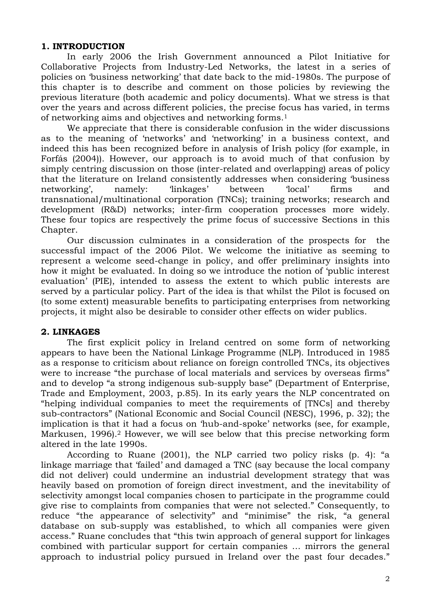#### **1. INTRODUCTION**

In early 2006 the Irish Government announced a Pilot Initiative for Collaborative Projects from Industry-Led Networks, the latest in a series of policies on 'business networking' that date back to the mid-1980s. The purpose of this chapter is to describe and comment on those policies by reviewing the previous literature (both academic and policy documents). What we stress is that over the years and across different policies, the precise focus has varied, in terms of networking aims and objectives and networking forms.<sup>1</sup>

We appreciate that there is considerable confusion in the wider discussions as to the meaning of 'networks' and 'networking' in a business context, and indeed this has been recognized before in analysis of Irish policy (for example, in Forfás (2004)). However, our approach is to avoid much of that confusion by simply centring discussion on those (inter-related and overlapping) areas of policy that the literature on Ireland consistently addresses when considering 'business networking', namely: 'linkages' between 'local' firms and transnational/multinational corporation (TNCs); training networks; research and development (R&D) networks; inter-firm cooperation processes more widely. These four topics are respectively the prime focus of successive Sections in this Chapter.

Our discussion culminates in a consideration of the prospects for the successful impact of the 2006 Pilot. We welcome the initiative as seeming to represent a welcome seed-change in policy, and offer preliminary insights into how it might be evaluated. In doing so we introduce the notion of 'public interest evaluation' (PIE), intended to assess the extent to which public interests are served by a particular policy. Part of the idea is that whilst the Pilot is focused on (to some extent) measurable benefits to participating enterprises from networking projects, it might also be desirable to consider other effects on wider publics.

## **2. LINKAGES**

The first explicit policy in Ireland centred on some form of networking appears to have been the National Linkage Programme (NLP). Introduced in 1985 as a response to criticism about reliance on foreign controlled TNCs, its objectives were to increase "the purchase of local materials and services by overseas firms" and to develop "a strong indigenous sub-supply base" (Department of Enterprise, Trade and Employment, 2003, p.85). In its early years the NLP concentrated on "helping individual companies to meet the requirements of [TNCs] and thereby sub-contractors" (National Economic and Social Council (NESC), 1996, p. 32); the implication is that it had a focus on 'hub-and-spoke' networks (see, for example, Markusen, 1996).<sup>2</sup> However, we will see below that this precise networking form altered in the late 1990s.

According to Ruane (2001), the NLP carried two policy risks (p. 4): "a linkage marriage that 'failed' and damaged a TNC (say because the local company did not deliver) could undermine an industrial development strategy that was heavily based on promotion of foreign direct investment, and the inevitability of selectivity amongst local companies chosen to participate in the programme could give rise to complaints from companies that were not selected." Consequently, to reduce "the appearance of selectivity" and "minimise" the risk, "a general database on sub-supply was established, to which all companies were given access." Ruane concludes that "this twin approach of general support for linkages combined with particular support for certain companies … mirrors the general approach to industrial policy pursued in Ireland over the past four decades."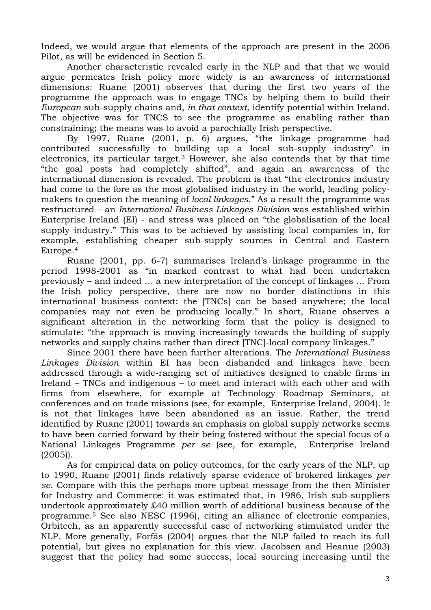Indeed, we would argue that elements of the approach are present in the 2006 Pilot, as will be evidenced in Section 5.

Another characteristic revealed early in the NLP and that that we would argue permeates Irish policy more widely is an awareness of international dimensions: Ruane (2001) observes that during the first two years of the programme the approach was to engage TNCs by helping them to build their *European* sub-supply chains and, *in that context*, identify potential within Ireland. The objective was for TNCS to see the programme as enabling rather than constraining; the means was to avoid a parochially Irish perspective.

By 1997, Ruane (2001, p. 6) argues, "the linkage programme had contributed successfully to building up a local sub-supply industry" in electronics, its particular target.<sup>3</sup> However, she also contends that by that time "the goal posts had completely shifted", and again an awareness of the international dimension is revealed. The problem is that "the electronics industry had come to the fore as the most globalised industry in the world, leading policymakers to question the meaning of *local linkages*." As a result the programme was restructured – an *International Business Linkages Division* was established within Enterprise Ireland (EI) - and stress was placed on "the globalisation of the local supply industry." This was to be achieved by assisting local companies in, for example, establishing cheaper sub-supply sources in Central and Eastern Europe.<sup>4</sup>

Ruane (2001, pp. 6-7) summarises Ireland's linkage programme in the period 1998-2001 as "in marked contrast to what had been undertaken previously – and indeed … a new interpretation of the concept of linkages ... From the Irish policy perspective, there are now no border distinctions in this international business context: the [TNCs] can be based anywhere; the local companies may not even be producing locally." In short, Ruane observes a significant alteration in the networking form that the policy is designed to stimulate: "the approach is moving increasingly towards the building of supply networks and supply chains rather than direct [TNC]-local company linkages."

Since 2001 there have been further alterations. The *International Business Linkages Division* within EI has been disbanded and linkages have been addressed through a wide-ranging set of initiatives designed to enable firms in Ireland – TNCs and indigenous – to meet and interact with each other and with firms from elsewhere, for example at Technology Roadmap Seminars, at conferences and on trade missions (see, for example, Enterprise Ireland, 2004). It is not that linkages have been abandoned as an issue. Rather, the trend identified by Ruane (2001) towards an emphasis on global supply networks seems to have been carried forward by their being fostered without the special focus of a National Linkages Programme *per se* (see, for example, Enterprise Ireland (2005)).

As for empirical data on policy outcomes, for the early years of the NLP, up to 1990, Ruane (2001) finds relatively sparse evidence of brokered linkages *per se*. Compare with this the perhaps more upbeat message from the then Minister for Industry and Commerce: it was estimated that, in 1986, Irish sub-suppliers undertook approximately £40 million worth of additional business because of the programme.<sup>5</sup> See also NESC (1996), citing an alliance of electronic companies, Orbitech, as an apparently successful case of networking stimulated under the NLP. More generally, Forfás (2004) argues that the NLP failed to reach its full potential, but gives no explanation for this view. Jacobsen and Heanue (2003) suggest that the policy had some success, local sourcing increasing until the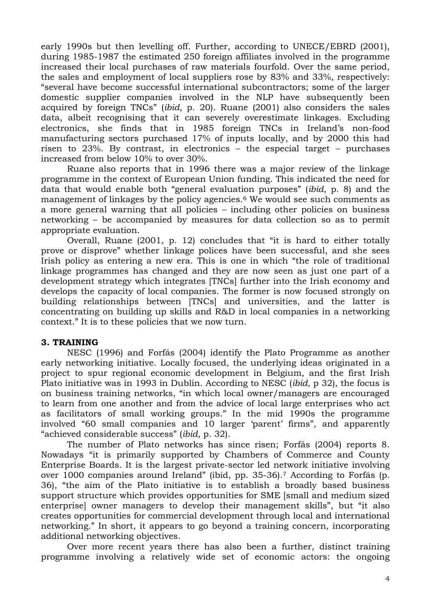early 1990s but then levelling off. Further, according to UNECE/EBRD (2001), during 1985-1987 the estimated 250 foreign affiliates involved in the programme increased their local purchases of raw materials fourfold. Over the same period, the sales and employment of local suppliers rose by 83% and 33%, respectively: "several have become successful international subcontractors; some of the larger domestic supplier companies involved in the NLP have subsequently been acquired by foreign TNCs" (*ibid*, p. 20). Ruane (2001) also considers the sales data, albeit recognising that it can severely overestimate linkages. Excluding electronics, she finds that in 1985 foreign TNCs in Ireland's non-food manufacturing sectors purchased 17% of inputs locally, and by 2000 this had risen to 23%. By contrast, in electronics – the especial target – purchases increased from below 10% to over 30%.

Ruane also reports that in 1996 there was a major review of the linkage programme in the context of European Union funding. This indicated the need for data that would enable both "general evaluation purposes" (*ibid*, p. 8) and the management of linkages by the policy agencies.<sup>6</sup> We would see such comments as a more general warning that all policies – including other policies on business networking – be accompanied by measures for data collection so as to permit appropriate evaluation.

Overall, Ruane (2001, p. 12) concludes that "it is hard to either totally prove or disprove" whether linkage polices have been successful, and she sees Irish policy as entering a new era. This is one in which "the role of traditional linkage programmes has changed and they are now seen as just one part of a development strategy which integrates [TNCs] further into the Irish economy and develops the capacity of local companies. The former is now focused strongly on building relationships between [TNCs] and universities, and the latter is concentrating on building up skills and R&D in local companies in a networking context." It is to these policies that we now turn.

#### **3. TRAINING**

NESC (1996) and Forfás (2004) identify the Plato Programme as another early networking initiative. Locally focused, the underlying ideas originated in a project to spur regional economic development in Belgium, and the first Irish Plato initiative was in 1993 in Dublin. According to NESC (*ibid*, p 32), the focus is on business training networks, "in which local owner/managers are encouraged to learn from one another and from the advice of local large enterprises who act as facilitators of small working groups." In the mid 1990s the programme involved "60 small companies and 10 larger 'parent' firms", and apparently "achieved considerable success" (*ibid*, p. 32).

The number of Plato networks has since risen; Forfás (2004) reports 8. Nowadays "it is primarily supported by Chambers of Commerce and County Enterprise Boards. It is the largest private-sector led network initiative involving over 1000 companies around Ireland" (ibid, pp. 35-36).<sup>7</sup> According to Forfás (p. 36), "the aim of the Plato initiative is to establish a broadly based business support structure which provides opportunities for SME [small and medium sized enterprise] owner managers to develop their management skills", but "it also creates opportunities for commercial development through local and international networking." In short, it appears to go beyond a training concern, incorporating additional networking objectives.

Over more recent years there has also been a further, distinct training programme involving a relatively wide set of economic actors: the ongoing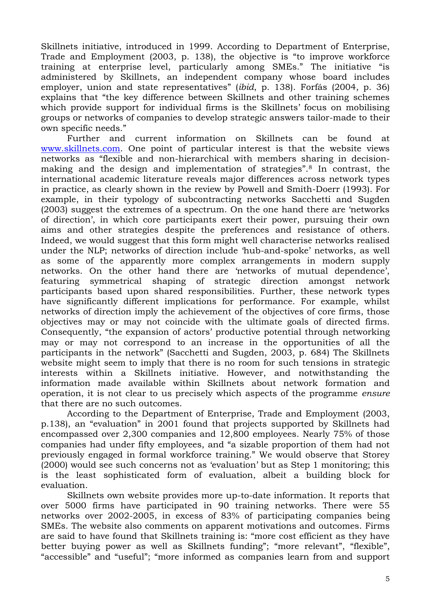Skillnets initiative, introduced in 1999. According to Department of Enterprise, Trade and Employment (2003, p. 138), the objective is "to improve workforce training at enterprise level, particularly among SMEs." The initiative "is administered by Skillnets, an independent company whose board includes employer, union and state representatives" (*ibid*, p. 138). Forfás (2004, p. 36) explains that "the key difference between Skillnets and other training schemes which provide support for individual firms is the Skillnets' focus on mobilising groups or networks of companies to develop strategic answers tailor-made to their own specific needs."

Further and current information on Skillnets can be found at [www.skillnets.com.](http://www.skillnets.com/) One point of particular interest is that the website views networks as "flexible and non-hierarchical with members sharing in decisionmaking and the design and implementation of strategies".<sup>8</sup> In contrast, the international academic literature reveals major differences across network types in practice, as clearly shown in the review by Powell and Smith-Doerr (1993). For example, in their typology of subcontracting networks Sacchetti and Sugden (2003) suggest the extremes of a spectrum. On the one hand there are 'networks of direction', in which core participants exert their power, pursuing their own aims and other strategies despite the preferences and resistance of others. Indeed, we would suggest that this form might well characterise networks realised under the NLP; networks of direction include 'hub-and-spoke' networks, as well as some of the apparently more complex arrangements in modern supply networks. On the other hand there are 'networks of mutual dependence', featuring symmetrical shaping of strategic direction amongst network participants based upon shared responsibilities. Further, these network types have significantly different implications for performance. For example, whilst networks of direction imply the achievement of the objectives of core firms, those objectives may or may not coincide with the ultimate goals of directed firms. Consequently, "the expansion of actors' productive potential through networking may or may not correspond to an increase in the opportunities of all the participants in the network" (Sacchetti and Sugden, 2003, p. 684) The Skillnets website might seem to imply that there is no room for such tensions in strategic interests within a Skillnets initiative. However, and notwithstanding the information made available within Skillnets about network formation and operation, it is not clear to us precisely which aspects of the programme *ensure* that there are no such outcomes.

According to the Department of Enterprise, Trade and Employment (2003, p.138), an "evaluation" in 2001 found that projects supported by Skillnets had encompassed over 2,300 companies and 12,800 employees. Nearly 75% of those companies had under fifty employees, and "a sizable proportion of them had not previously engaged in formal workforce training." We would observe that Storey (2000) would see such concerns not as 'evaluation' but as Step 1 monitoring; this is the least sophisticated form of evaluation, albeit a building block for evaluation.

Skillnets own website provides more up-to-date information. It reports that over 5000 firms have participated in 90 training networks. There were 55 networks over 2002-2005, in excess of 83% of participating companies being SMEs. The website also comments on apparent motivations and outcomes. Firms are said to have found that Skillnets training is: "more cost efficient as they have better buying power as well as Skillnets funding"; "more relevant", "flexible", "accessible" and "useful"; "more informed as companies learn from and support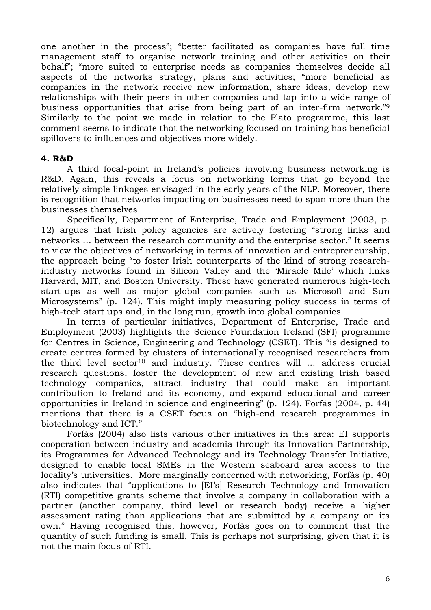one another in the process"; "better facilitated as companies have full time management staff to organise network training and other activities on their behalf"; "more suited to enterprise needs as companies themselves decide all aspects of the networks strategy, plans and activities; "more beneficial as companies in the network receive new information, share ideas, develop new relationships with their peers in other companies and tap into a wide range of business opportunities that arise from being part of an inter-firm network."<sup>9</sup> Similarly to the point we made in relation to the Plato programme, this last comment seems to indicate that the networking focused on training has beneficial spillovers to influences and objectives more widely.

## **4. R&D**

A third focal-point in Ireland's policies involving business networking is R&D. Again, this reveals a focus on networking forms that go beyond the relatively simple linkages envisaged in the early years of the NLP. Moreover, there is recognition that networks impacting on businesses need to span more than the businesses themselves

Specifically, Department of Enterprise, Trade and Employment (2003, p. 12) argues that Irish policy agencies are actively fostering "strong links and networks … between the research community and the enterprise sector." It seems to view the objectives of networking in terms of innovation and entrepreneurship, the approach being "to foster Irish counterparts of the kind of strong researchindustry networks found in Silicon Valley and the 'Miracle Mile' which links Harvard, MIT, and Boston University. These have generated numerous high-tech start-ups as well as major global companies such as Microsoft and Sun Microsystems" (p. 124). This might imply measuring policy success in terms of high-tech start ups and, in the long run, growth into global companies.

In terms of particular initiatives, Department of Enterprise, Trade and Employment (2003) highlights the Science Foundation Ireland (SFI) programme for Centres in Science, Engineering and Technology (CSET). This "is designed to create centres formed by clusters of internationally recognised researchers from the third level sector<sup>10</sup> and industry. These centres will  $\ldots$  address crucial research questions, foster the development of new and existing Irish based technology companies, attract industry that could make an important contribution to Ireland and its economy, and expand educational and career opportunities in Ireland in science and engineering" (p. 124). Forfás (2004, p. 44) mentions that there is a CSET focus on "high-end research programmes in biotechnology and ICT."

Forfás (2004) also lists various other initiatives in this area: EI supports cooperation between industry and academia through its Innovation Partnership, its Programmes for Advanced Technology and its Technology Transfer Initiative, designed to enable local SMEs in the Western seaboard area access to the locality's universities. More marginally concerned with networking, Forfás (p. 40) also indicates that "applications to [EI's] Research Technology and Innovation (RTI) competitive grants scheme that involve a company in collaboration with a partner (another company, third level or research body) receive a higher assessment rating than applications that are submitted by a company on its own." Having recognised this, however, Forfás goes on to comment that the quantity of such funding is small. This is perhaps not surprising, given that it is not the main focus of RTI.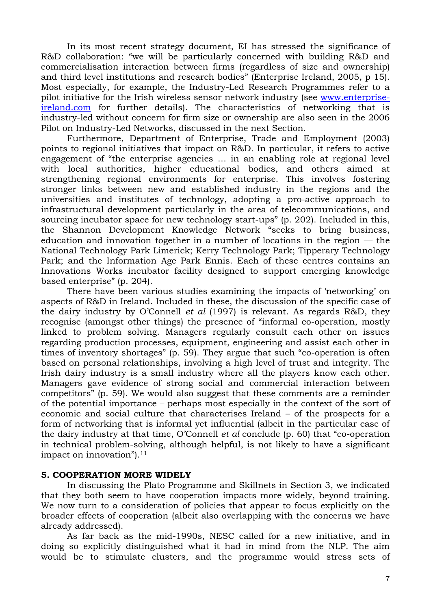In its most recent strategy document, EI has stressed the significance of R&D collaboration: "we will be particularly concerned with building R&D and commercialisation interaction between firms (regardless of size and ownership) and third level institutions and research bodies" (Enterprise Ireland, 2005, p 15). Most especially, for example, the Industry-Led Research Programmes refer to a pilot initiative for the Irish wireless sensor network industry (see [www.enterprise](http://www.enterprise-ireland.com/)[ireland.com](http://www.enterprise-ireland.com/) for further details). The characteristics of networking that is industry-led without concern for firm size or ownership are also seen in the 2006 Pilot on Industry-Led Networks, discussed in the next Section.

Furthermore, Department of Enterprise, Trade and Employment (2003) points to regional initiatives that impact on R&D. In particular, it refers to active engagement of "the enterprise agencies … in an enabling role at regional level with local authorities, higher educational bodies, and others aimed at strengthening regional environments for enterprise. This involves fostering stronger links between new and established industry in the regions and the universities and institutes of technology, adopting a pro-active approach to infrastructural development particularly in the area of telecommunications, and sourcing incubator space for new technology start-ups" (p. 202). Included in this, the Shannon Development Knowledge Network "seeks to bring business, education and innovation together in a number of locations in the region — the National Technology Park Limerick; Kerry Technology Park; Tipperary Technology Park; and the Information Age Park Ennis. Each of these centres contains an Innovations Works incubator facility designed to support emerging knowledge based enterprise" (p. 204).

There have been various studies examining the impacts of 'networking' on aspects of R&D in Ireland. Included in these, the discussion of the specific case of the dairy industry by O'Connell *et al* (1997) is relevant. As regards R&D, they recognise (amongst other things) the presence of "informal co-operation, mostly linked to problem solving. Managers regularly consult each other on issues regarding production processes, equipment, engineering and assist each other in times of inventory shortages" (p. 59). They argue that such "co-operation is often based on personal relationships, involving a high level of trust and integrity. The Irish dairy industry is a small industry where all the players know each other. Managers gave evidence of strong social and commercial interaction between competitors" (p. 59). We would also suggest that these comments are a reminder of the potential importance – perhaps most especially in the context of the sort of economic and social culture that characterises Ireland – of the prospects for a form of networking that is informal yet influential (albeit in the particular case of the dairy industry at that time, O'Connell *et al* conclude (p. 60) that "co-operation in technical problem-solving, although helpful, is not likely to have a significant impact on innovation").<sup>11</sup>

## **5. COOPERATION MORE WIDELY**

In discussing the Plato Programme and Skillnets in Section 3, we indicated that they both seem to have cooperation impacts more widely, beyond training. We now turn to a consideration of policies that appear to focus explicitly on the broader effects of cooperation (albeit also overlapping with the concerns we have already addressed).

As far back as the mid-1990s, NESC called for a new initiative, and in doing so explicitly distinguished what it had in mind from the NLP. The aim would be to stimulate clusters, and the programme would stress sets of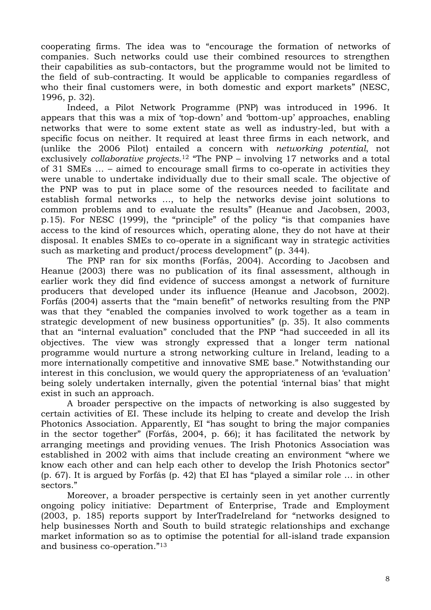cooperating firms. The idea was to "encourage the formation of networks of companies. Such networks could use their combined resources to strengthen their capabilities as sub-contactors, but the programme would not be limited to the field of sub-contracting. It would be applicable to companies regardless of who their final customers were, in both domestic and export markets" (NESC, 1996, p. 32).

Indeed, a Pilot Network Programme (PNP) was introduced in 1996. It appears that this was a mix of 'top-down' and 'bottom-up' approaches, enabling networks that were to some extent state as well as industry-led, but with a specific focus on neither. It required at least three firms in each network, and (unlike the 2006 Pilot) entailed a concern with *networking potential*, not exclusively *collaborative projects*. <sup>12</sup> "The PNP – involving 17 networks and a total of 31 SMEs … – aimed to encourage small firms to co-operate in activities they were unable to undertake individually due to their small scale. The objective of the PNP was to put in place some of the resources needed to facilitate and establish formal networks …, to help the networks devise joint solutions to common problems and to evaluate the results" (Heanue and Jacobsen, 2003, p.15). For NESC (1999), the "principle" of the policy "is that companies have access to the kind of resources which, operating alone, they do not have at their disposal. It enables SMEs to co-operate in a significant way in strategic activities such as marketing and product/process development" (p. 344).

The PNP ran for six months (Forfás, 2004). According to Jacobsen and Heanue (2003) there was no publication of its final assessment, although in earlier work they did find evidence of success amongst a network of furniture producers that developed under its influence (Heanue and Jacobson, 2002). Forfás (2004) asserts that the "main benefit" of networks resulting from the PNP was that they "enabled the companies involved to work together as a team in strategic development of new business opportunities" (p. 35). It also comments that an "internal evaluation" concluded that the PNP "had succeeded in all its objectives. The view was strongly expressed that a longer term national programme would nurture a strong networking culture in Ireland, leading to a more internationally competitive and innovative SME base." Notwithstanding our interest in this conclusion, we would query the appropriateness of an 'evaluation' being solely undertaken internally, given the potential 'internal bias' that might exist in such an approach.

A broader perspective on the impacts of networking is also suggested by certain activities of EI. These include its helping to create and develop the Irish Photonics Association. Apparently, EI "has sought to bring the major companies in the sector together" (Forfás, 2004, p. 66); it has facilitated the network by arranging meetings and providing venues. The Irish Photonics Association was established in 2002 with aims that include creating an environment "where we know each other and can help each other to develop the Irish Photonics sector" (p. 67). It is argued by Forfás (p. 42) that EI has "played a similar role … in other sectors."

Moreover, a broader perspective is certainly seen in yet another currently ongoing policy initiative: Department of Enterprise, Trade and Employment (2003, p. 185) reports support by InterTradeIreland for "networks designed to help businesses North and South to build strategic relationships and exchange market information so as to optimise the potential for all-island trade expansion and business co-operation."13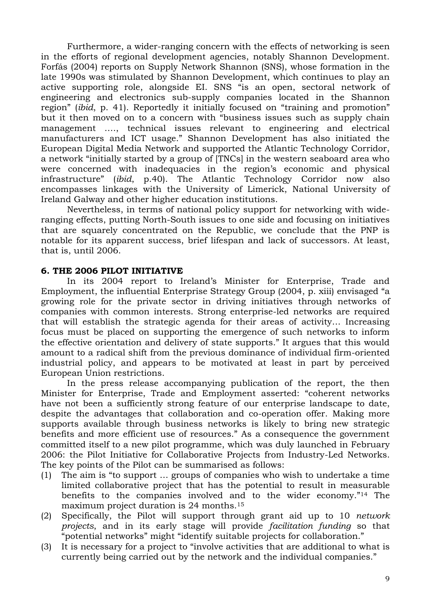Furthermore, a wider-ranging concern with the effects of networking is seen in the efforts of regional development agencies, notably Shannon Development. Forfás (2004) reports on Supply Network Shannon (SNS), whose formation in the late 1990s was stimulated by Shannon Development, which continues to play an active supporting role, alongside EI. SNS "is an open, sectoral network of engineering and electronics sub-supply companies located in the Shannon region" (*ibid*, p. 41). Reportedly it initially focused on "training and promotion" but it then moved on to a concern with "business issues such as supply chain management …., technical issues relevant to engineering and electrical manufacturers and ICT usage." Shannon Development has also initiated the European Digital Media Network and supported the Atlantic Technology Corridor, a network "initially started by a group of [TNCs] in the western seaboard area who were concerned with inadequacies in the region's economic and physical infrastructure" (*ibid*, p.40). The Atlantic Technology Corridor now also encompasses linkages with the University of Limerick, National University of Ireland Galway and other higher education institutions.

Nevertheless, in terms of national policy support for networking with wideranging effects, putting North-South issues to one side and focusing on initiatives that are squarely concentrated on the Republic, we conclude that the PNP is notable for its apparent success, brief lifespan and lack of successors. At least, that is, until 2006.

# **6. THE 2006 PILOT INITIATIVE**

In its 2004 report to Ireland's Minister for Enterprise, Trade and Employment, the influential Enterprise Strategy Group (2004, p. xiii) envisaged "a growing role for the private sector in driving initiatives through networks of companies with common interests. Strong enterprise-led networks are required that will establish the strategic agenda for their areas of activity… Increasing focus must be placed on supporting the emergence of such networks to inform the effective orientation and delivery of state supports." It argues that this would amount to a radical shift from the previous dominance of individual firm-oriented industrial policy, and appears to be motivated at least in part by perceived European Union restrictions.

In the press release accompanying publication of the report, the then Minister for Enterprise, Trade and Employment asserted: "coherent networks have not been a sufficiently strong feature of our enterprise landscape to date, despite the advantages that collaboration and co-operation offer. Making more supports available through business networks is likely to bring new strategic benefits and more efficient use of resources." As a consequence the government committed itself to a new pilot programme, which was duly launched in February 2006: the Pilot Initiative for Collaborative Projects from Industry-Led Networks. The key points of the Pilot can be summarised as follows:

- (1) The aim is "to support … groups of companies who wish to undertake a time limited collaborative project that has the potential to result in measurable benefits to the companies involved and to the wider economy."<sup>14</sup> The maximum project duration is 24 months.<sup>15</sup>
- (2) Specifically, the Pilot will support through grant aid up to 10 *network projects*, and in its early stage will provide *facilitation funding* so that "potential networks" might "identify suitable projects for collaboration."
- (3) It is necessary for a project to "involve activities that are additional to what is currently being carried out by the network and the individual companies."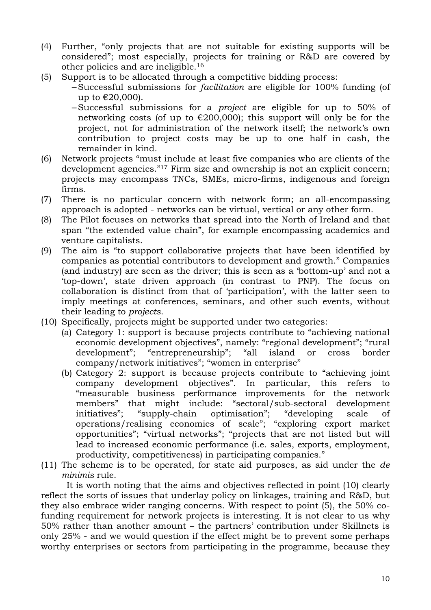- (4) Further, "only projects that are not suitable for existing supports will be considered"; most especially, projects for training or R&D are covered by other policies and are ineligible.<sup>16</sup>
- (5) Support is to be allocated through a competitive bidding process:
	- –Successful submissions for *facilitation* are eligible for 100% funding (of up to  $\epsilon$ 20,000).
	- –Successful submissions for a *project* are eligible for up to 50% of networking costs (of up to  $\epsilon$ 200,000); this support will only be for the project, not for administration of the network itself; the network's own contribution to project costs may be up to one half in cash, the remainder in kind.
- (6) Network projects "must include at least five companies who are clients of the development agencies."<sup>17</sup> Firm size and ownership is not an explicit concern; projects may encompass TNCs, SMEs, micro-firms, indigenous and foreign firms.
- (7) There is no particular concern with network form; an all-encompassing approach is adopted - networks can be virtual, vertical or any other form.
- (8) The Pilot focuses on networks that spread into the North of Ireland and that span "the extended value chain", for example encompassing academics and venture capitalists.
- (9) The aim is "to support collaborative projects that have been identified by companies as potential contributors to development and growth." Companies (and industry) are seen as the driver; this is seen as a 'bottom-up' and not a 'top-down', state driven approach (in contrast to PNP). The focus on collaboration is distinct from that of 'participation', with the latter seen to imply meetings at conferences, seminars, and other such events, without their leading to *projects*.
- (10) Specifically, projects might be supported under two categories:
	- (a) Category 1: support is because projects contribute to "achieving national economic development objectives", namely: "regional development"; "rural development"; "entrepreneurship"; "all island or cross border company/network initiatives"; "women in enterprise"
	- (b) Category 2: support is because projects contribute to "achieving joint company development objectives". In particular, this refers to "measurable business performance improvements for the network members" that might include: "sectoral/sub-sectoral development initiatives"; "supply-chain optimisation"; "developing scale of operations/realising economies of scale"; "exploring export market opportunities"; "virtual networks"; "projects that are not listed but will lead to increased economic performance (i.e. sales, exports, employment, productivity, competitiveness) in participating companies."
- (11) The scheme is to be operated, for state aid purposes, as aid under the *de minimis* rule.

It is worth noting that the aims and objectives reflected in point (10) clearly reflect the sorts of issues that underlay policy on linkages, training and R&D, but they also embrace wider ranging concerns. With respect to point (5), the 50% cofunding requirement for network projects is interesting. It is not clear to us why 50% rather than another amount – the partners' contribution under Skillnets is only 25% - and we would question if the effect might be to prevent some perhaps worthy enterprises or sectors from participating in the programme, because they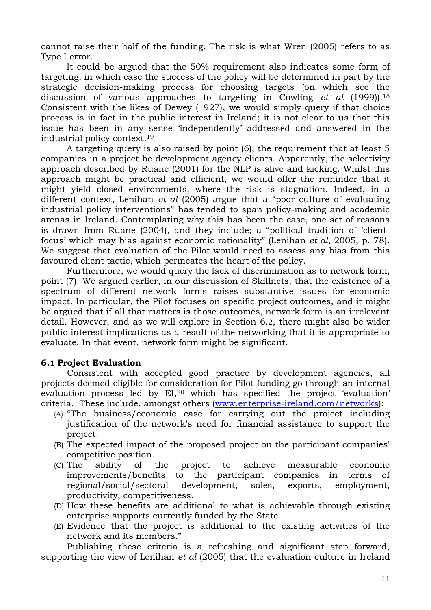cannot raise their half of the funding. The risk is what Wren (2005) refers to as Type I error.

It could be argued that the 50% requirement also indicates some form of targeting, in which case the success of the policy will be determined in part by the strategic decision-making process for choosing targets (on which see the discussion of various approaches to targeting in Cowling *et al* (1999)).<sup>18</sup> Consistent with the likes of Dewey (1927), we would simply query if that choice process is in fact in the public interest in Ireland; it is not clear to us that this issue has been in any sense 'independently' addressed and answered in the industrial policy context.<sup>19</sup>

A targeting query is also raised by point (6), the requirement that at least 5 companies in a project be development agency clients. Apparently, the selectivity approach described by Ruane (2001) for the NLP is alive and kicking. Whilst this approach might be practical and efficient, we would offer the reminder that it might yield closed environments, where the risk is stagnation. Indeed, in a different context, Lenihan *et al* (2005) argue that a "poor culture of evaluating industrial policy interventions" has tended to span policy-making and academic arenas in Ireland. Contemplating why this has been the case, one set of reasons is drawn from Ruane (2004), and they include; a "political tradition of 'clientfocus' which may bias against economic rationality" (Lenihan *et al*, 2005, p. 78). We suggest that evaluation of the Pilot would need to assess any bias from this favoured client tactic, which permeates the heart of the policy.

Furthermore, we would query the lack of discrimination as to network form, point (7). We argued earlier, in our discussion of Skillnets, that the existence of a spectrum of different network forms raises substantive issues for economic impact. In particular, the Pilot focuses on specific project outcomes, and it might be argued that if all that matters is those outcomes, network form is an irrelevant detail. However, and as we will explore in Section 6.2, there might also be wider public interest implications as a result of the networking that it is appropriate to evaluate. In that event, network form might be significant.

## **6.1 Project Evaluation**

Consistent with accepted good practice by development agencies, all projects deemed eligible for consideration for Pilot funding go through an internal evaluation process led by EI,<sup>20</sup> which has specified the project 'evaluation' criteria. These include, amongst others [\(www.enterprise-ireland.com/networks\)](http://www.enterprise-ireland.com/networks):

- (A) "The business/economic case for carrying out the project including justification of the network's need for financial assistance to support the project.
- (B) The expected impact of the proposed project on the participant companies' competitive position.
- (C) The ability of the project to achieve measurable economic improvements/benefits to the participant companies in terms of regional/social/sectoral development, sales, exports, employment, productivity, competitiveness.
- (D) How these benefits are additional to what is achievable through existing enterprise supports currently funded by the State.
- (E) Evidence that the project is additional to the existing activities of the network and its members."

Publishing these criteria is a refreshing and significant step forward, supporting the view of Lenihan *et al* (2005) that the evaluation culture in Ireland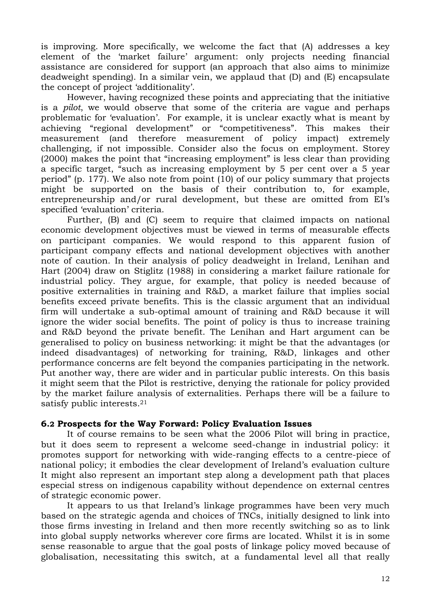is improving. More specifically, we welcome the fact that (A) addresses a key element of the 'market failure' argument: only projects needing financial assistance are considered for support (an approach that also aims to minimize deadweight spending). In a similar vein, we applaud that (D) and (E) encapsulate the concept of project 'additionality'.

However, having recognized these points and appreciating that the initiative is a *pilot*, we would observe that some of the criteria are vague and perhaps problematic for 'evaluation'. For example, it is unclear exactly what is meant by achieving "regional development" or "competitiveness". This makes their measurement (and therefore measurement of policy impact) extremely challenging, if not impossible. Consider also the focus on employment. Storey (2000) makes the point that "increasing employment" is less clear than providing a specific target, "such as increasing employment by 5 per cent over a 5 year period" (p. 177). We also note from point (10) of our policy summary that projects might be supported on the basis of their contribution to, for example, entrepreneurship and/or rural development, but these are omitted from EI's specified 'evaluation' criteria.

Further, (B) and (C) seem to require that claimed impacts on national economic development objectives must be viewed in terms of measurable effects on participant companies. We would respond to this apparent fusion of participant company effects and national development objectives with another note of caution. In their analysis of policy deadweight in Ireland, Lenihan and Hart (2004) draw on Stiglitz (1988) in considering a market failure rationale for industrial policy. They argue, for example, that policy is needed because of positive externalities in training and R&D, a market failure that implies social benefits exceed private benefits. This is the classic argument that an individual firm will undertake a sub-optimal amount of training and R&D because it will ignore the wider social benefits. The point of policy is thus to increase training and R&D beyond the private benefit. The Lenihan and Hart argument can be generalised to policy on business networking: it might be that the advantages (or indeed disadvantages) of networking for training, R&D, linkages and other performance concerns are felt beyond the companies participating in the network. Put another way, there are wider and in particular public interests. On this basis it might seem that the Pilot is restrictive, denying the rationale for policy provided by the market failure analysis of externalities. Perhaps there will be a failure to satisfy public interests.<sup>21</sup>

## **6.2 Prospects for the Way Forward: Policy Evaluation Issues**

It of course remains to be seen what the 2006 Pilot will bring in practice, but it does seem to represent a welcome seed-change in industrial policy: it promotes support for networking with wide-ranging effects to a centre-piece of national policy; it embodies the clear development of Ireland's evaluation culture It might also represent an important step along a development path that places especial stress on indigenous capability without dependence on external centres of strategic economic power.

It appears to us that Ireland's linkage programmes have been very much based on the strategic agenda and choices of TNCs, initially designed to link into those firms investing in Ireland and then more recently switching so as to link into global supply networks wherever core firms are located. Whilst it is in some sense reasonable to argue that the goal posts of linkage policy moved because of globalisation, necessitating this switch, at a fundamental level all that really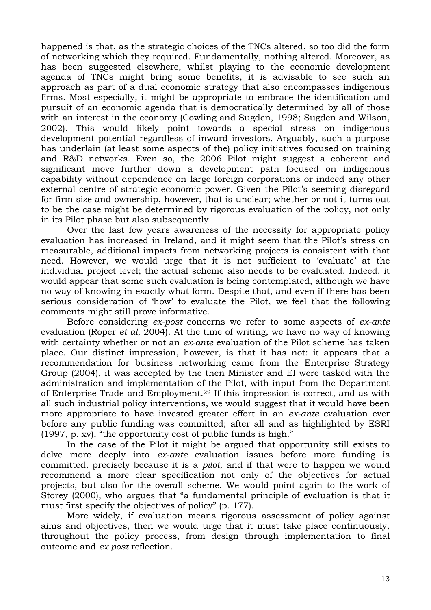happened is that, as the strategic choices of the TNCs altered, so too did the form of networking which they required. Fundamentally, nothing altered. Moreover, as has been suggested elsewhere, whilst playing to the economic development agenda of TNCs might bring some benefits, it is advisable to see such an approach as part of a dual economic strategy that also encompasses indigenous firms. Most especially, it might be appropriate to embrace the identification and pursuit of an economic agenda that is democratically determined by all of those with an interest in the economy (Cowling and Sugden, 1998; Sugden and Wilson, 2002). This would likely point towards a special stress on indigenous development potential regardless of inward investors. Arguably, such a purpose has underlain (at least some aspects of the) policy initiatives focused on training and R&D networks. Even so, the 2006 Pilot might suggest a coherent and significant move further down a development path focused on indigenous capability without dependence on large foreign corporations or indeed any other external centre of strategic economic power. Given the Pilot's seeming disregard for firm size and ownership, however, that is unclear; whether or not it turns out to be the case might be determined by rigorous evaluation of the policy, not only in its Pilot phase but also subsequently.

Over the last few years awareness of the necessity for appropriate policy evaluation has increased in Ireland, and it might seem that the Pilot's stress on measurable, additional impacts from networking projects is consistent with that need. However, we would urge that it is not sufficient to 'evaluate' at the individual project level; the actual scheme also needs to be evaluated. Indeed, it would appear that some such evaluation is being contemplated, although we have no way of knowing in exactly what form. Despite that, and even if there has been serious consideration of 'how' to evaluate the Pilot, we feel that the following comments might still prove informative.

Before considering *ex-post* concerns we refer to some aspects of *ex-ante* evaluation (Roper *et al*, 2004). At the time of writing, we have no way of knowing with certainty whether or not an *ex-ante* evaluation of the Pilot scheme has taken place. Our distinct impression, however, is that it has not: it appears that a recommendation for business networking came from the Enterprise Strategy Group (2004), it was accepted by the then Minister and EI were tasked with the administration and implementation of the Pilot, with input from the Department of Enterprise Trade and Employment.<sup>22</sup> If this impression is correct, and as with all such industrial policy interventions, we would suggest that it would have been more appropriate to have invested greater effort in an *ex-ante* evaluation ever before any public funding was committed; after all and as highlighted by ESRI (1997, p. xv), "the opportunity cost of public funds is high."

In the case of the Pilot it might be argued that opportunity still exists to delve more deeply into *ex-ante* evaluation issues before more funding is committed, precisely because it is a *pilot*, and if that were to happen we would recommend a more clear specification not only of the objectives for actual projects, but also for the overall scheme. We would point again to the work of Storey (2000), who argues that "a fundamental principle of evaluation is that it must first specify the objectives of policy" (p. 177).

More widely, if evaluation means rigorous assessment of policy against aims and objectives, then we would urge that it must take place continuously, throughout the policy process, from design through implementation to final outcome and *ex post* reflection.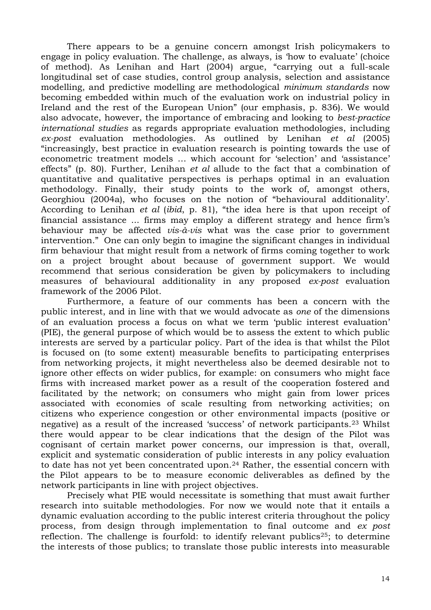There appears to be a genuine concern amongst Irish policymakers to engage in policy evaluation. The challenge, as always, is 'how to evaluate' (choice of method). As Lenihan and Hart (2004) argue, "carrying out a full-scale longitudinal set of case studies, control group analysis, selection and assistance modelling, and predictive modelling are methodological *minimum standards* now becoming embedded within much of the evaluation work on industrial policy in Ireland and the rest of the European Union" (our emphasis, p. 836). We would also advocate, however, the importance of embracing and looking to *best-practice international studies* as regards appropriate evaluation methodologies, including *ex-post* evaluation methodologies. As outlined by Lenihan *et al* (2005) "increasingly, best practice in evaluation research is pointing towards the use of econometric treatment models … which account for 'selection' and 'assistance' effects" (p. 80). Further, Lenihan *et al* allude to the fact that a combination of quantitative and qualitative perspectives is perhaps optimal in an evaluation methodology. Finally, their study points to the work of, amongst others, Georghiou (2004a), who focuses on the notion of "behavioural additionality'. According to Lenihan *et al* (*ibid*, p. 81), "the idea here is that upon receipt of financial assistance ... firms may employ a different strategy and hence firm's behaviour may be affected *vis-à-vis* what was the case prior to government intervention." One can only begin to imagine the significant changes in individual firm behaviour that might result from a network of firms coming together to work on a project brought about because of government support. We would recommend that serious consideration be given by policymakers to including measures of behavioural additionality in any proposed *ex-post* evaluation framework of the 2006 Pilot.

Furthermore, a feature of our comments has been a concern with the public interest, and in line with that we would advocate as *one* of the dimensions of an evaluation process a focus on what we term 'public interest evaluation' (PIE), the general purpose of which would be to assess the extent to which public interests are served by a particular policy. Part of the idea is that whilst the Pilot is focused on (to some extent) measurable benefits to participating enterprises from networking projects, it might nevertheless also be deemed desirable not to ignore other effects on wider publics, for example: on consumers who might face firms with increased market power as a result of the cooperation fostered and facilitated by the network; on consumers who might gain from lower prices associated with economies of scale resulting from networking activities; on citizens who experience congestion or other environmental impacts (positive or negative) as a result of the increased 'success' of network participants.<sup>23</sup> Whilst there would appear to be clear indications that the design of the Pilot was cognisant of certain market power concerns, our impression is that, overall, explicit and systematic consideration of public interests in any policy evaluation to date has not yet been concentrated upon.<sup>24</sup> Rather, the essential concern with the Pilot appears to be to measure economic deliverables as defined by the network participants in line with project objectives.

Precisely what PIE would necessitate is something that must await further research into suitable methodologies. For now we would note that it entails a dynamic evaluation according to the public interest criteria throughout the policy process, from design through implementation to final outcome and *ex post* reflection. The challenge is fourfold: to identify relevant publics<sup>25</sup>; to determine the interests of those publics; to translate those public interests into measurable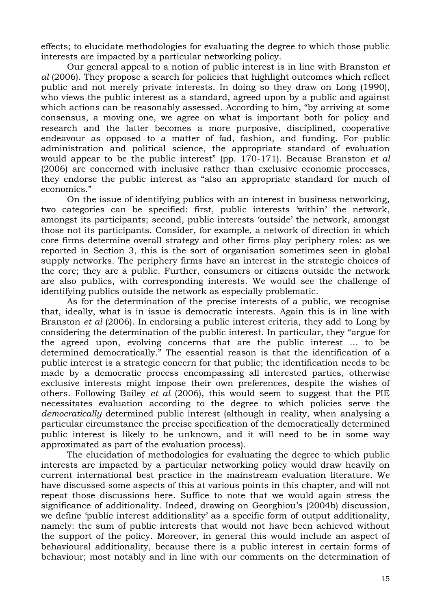effects; to elucidate methodologies for evaluating the degree to which those public interests are impacted by a particular networking policy.

Our general appeal to a notion of public interest is in line with Branston *et al* (2006). They propose a search for policies that highlight outcomes which reflect public and not merely private interests. In doing so they draw on Long (1990), who views the public interest as a standard, agreed upon by a public and against which actions can be reasonably assessed. According to him, "by arriving at some consensus, a moving one, we agree on what is important both for policy and research and the latter becomes a more purposive, disciplined, cooperative endeavour as opposed to a matter of fad, fashion, and funding. For public administration and political science, the appropriate standard of evaluation would appear to be the public interest" (pp. 170-171). Because Branston *et al* (2006) are concerned with inclusive rather than exclusive economic processes, they endorse the public interest as "also an appropriate standard for much of economics."

On the issue of identifying publics with an interest in business networking, two categories can be specified: first, public interests 'within' the network, amongst its participants; second, public interests 'outside' the network, amongst those not its participants. Consider, for example, a network of direction in which core firms determine overall strategy and other firms play periphery roles: as we reported in Section 3, this is the sort of organisation sometimes seen in global supply networks. The periphery firms have an interest in the strategic choices of the core; they are a public. Further, consumers or citizens outside the network are also publics, with corresponding interests. We would see the challenge of identifying publics outside the network as especially problematic.

As for the determination of the precise interests of a public, we recognise that, ideally, what is in issue is democratic interests. Again this is in line with Branston *et al* (2006). In endorsing a public interest criteria, they add to Long by considering the determination of the public interest. In particular, they "argue for the agreed upon, evolving concerns that are the public interest … to be determined democratically." The essential reason is that the identification of a public interest is a strategic concern for that public; the identification needs to be made by a democratic process encompassing all interested parties, otherwise exclusive interests might impose their own preferences, despite the wishes of others. Following Bailey *et al* (2006), this would seem to suggest that the PIE necessitates evaluation according to the degree to which policies serve the *democratically* determined public interest (although in reality, when analysing a particular circumstance the precise specification of the democratically determined public interest is likely to be unknown, and it will need to be in some way approximated as part of the evaluation process).

The elucidation of methodologies for evaluating the degree to which public interests are impacted by a particular networking policy would draw heavily on current international best practice in the mainstream evaluation literature. We have discussed some aspects of this at various points in this chapter, and will not repeat those discussions here. Suffice to note that we would again stress the significance of additionality. Indeed, drawing on Georghiou's (2004b) discussion, we define 'public interest additionality' as a specific form of output additionality, namely: the sum of public interests that would not have been achieved without the support of the policy. Moreover, in general this would include an aspect of behavioural additionality, because there is a public interest in certain forms of behaviour; most notably and in line with our comments on the determination of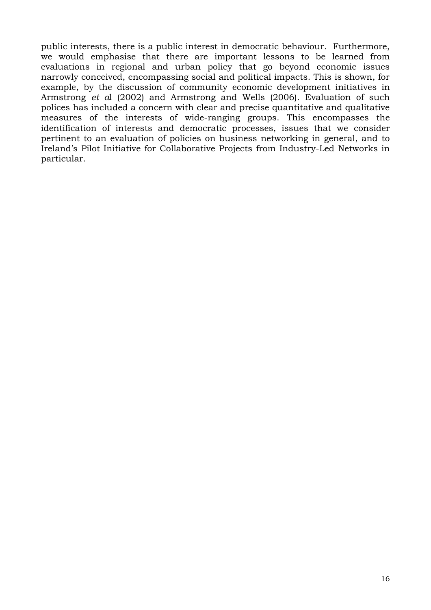public interests, there is a public interest in democratic behaviour. Furthermore, we would emphasise that there are important lessons to be learned from evaluations in regional and urban policy that go beyond economic issues narrowly conceived, encompassing social and political impacts. This is shown, for example, by the discussion of community economic development initiatives in Armstrong *et a*l (2002) and Armstrong and Wells (2006). Evaluation of such polices has included a concern with clear and precise quantitative and qualitative measures of the interests of wide-ranging groups. This encompasses the identification of interests and democratic processes, issues that we consider pertinent to an evaluation of policies on business networking in general, and to Ireland's Pilot Initiative for Collaborative Projects from Industry-Led Networks in particular.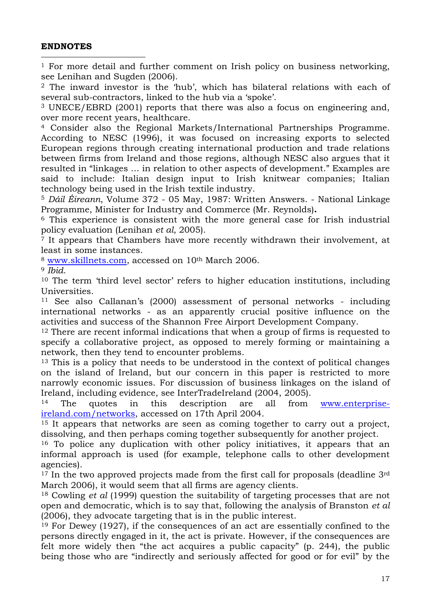#### **ENDNOTES**

<u>.</u>

<sup>1</sup> For more detail and further comment on Irish policy on business networking, see Lenihan and Sugden (2006).

<sup>2</sup> The inward investor is the 'hub', which has bilateral relations with each of several sub-contractors, linked to the hub via a 'spoke'.

<sup>3</sup> UNECE/EBRD (2001) reports that there was also a focus on engineering and, over more recent years, healthcare.

<sup>4</sup> Consider also the Regional Markets/International Partnerships Programme. According to NESC (1996), it was focused on increasing exports to selected European regions through creating international production and trade relations between firms from Ireland and those regions, although NESC also argues that it resulted in "linkages … in relation to other aspects of development." Examples are said to include: Italian design input to Irish knitwear companies; Italian technology being used in the Irish textile industry.

<sup>5</sup> *Dáil Éireann*, Volume 372 - 05 May, 1987: Written Answers. - National Linkage Programme, Minister for Industry and Commerce (Mr. Reynolds)**.**

<sup>6</sup> This experience is consistent with the more general case for Irish industrial policy evaluation (Lenihan *et al*, 2005).

<sup>7</sup> It appears that Chambers have more recently withdrawn their involvement, at least in some instances.

<sup>8</sup> [www.skillnets.com,](http://www.skillnets.com/) accessed on 10th March 2006.

<sup>9</sup> *Ibid*.

<sup>10</sup> The term 'third level sector' refers to higher education institutions, including Universities.

<sup>11</sup> See also Callanan's (2000) assessment of personal networks - including international networks - as an apparently crucial positive influence on the activities and success of the Shannon Free Airport Development Company.

<sup>12</sup> There are recent informal indications that when a group of firms is requested to specify a collaborative project, as opposed to merely forming or maintaining a network, then they tend to encounter problems.

<sup>13</sup> This is a policy that needs to be understood in the context of political changes on the island of Ireland, but our concern in this paper is restricted to more narrowly economic issues. For discussion of business linkages on the island of Ireland, including evidence, see InterTradeIreland (2004, 2005).

<sup>14</sup> The quotes in this description are all from [www.enterprise](http://www.enterprise-ireland.com/networks)[ireland.com/networks,](http://www.enterprise-ireland.com/networks) accessed on 17th April 2004.

<sup>15</sup> It appears that networks are seen as coming together to carry out a project, dissolving, and then perhaps coming together subsequently for another project.

<sup>16</sup> To police any duplication with other policy initiatives, it appears that an informal approach is used (for example, telephone calls to other development agencies).

 $17$  In the two approved projects made from the first call for proposals (deadline  $3<sup>rd</sup>$ March 2006), it would seem that all firms are agency clients.

<sup>18</sup> Cowling *et al* (1999) question the suitability of targeting processes that are not open and democratic, which is to say that, following the analysis of Branston *et al* (2006), they advocate targeting that is in the public interest.

<sup>19</sup> For Dewey (1927), if the consequences of an act are essentially confined to the persons directly engaged in it, the act is private. However, if the consequences are felt more widely then "the act acquires a public capacity" (p. 244), the public being those who are "indirectly and seriously affected for good or for evil" by the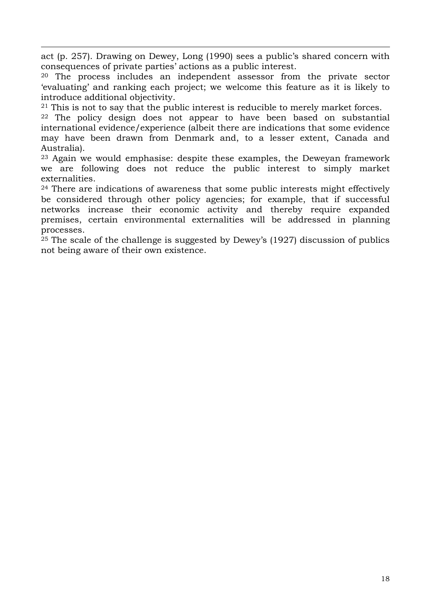act (p. 257). Drawing on Dewey, Long (1990) sees a public's shared concern with consequences of private parties' actions as a public interest.

<u>.</u>

<sup>20</sup> The process includes an independent assessor from the private sector 'evaluating' and ranking each project; we welcome this feature as it is likely to introduce additional objectivity.

<sup>21</sup> This is not to say that the public interest is reducible to merely market forces.

<sup>22</sup> The policy design does not appear to have been based on substantial international evidence/experience (albeit there are indications that some evidence may have been drawn from Denmark and, to a lesser extent, Canada and Australia).

<sup>23</sup> Again we would emphasise: despite these examples, the Deweyan framework we are following does not reduce the public interest to simply market externalities.

<sup>24</sup> There are indications of awareness that some public interests might effectively be considered through other policy agencies; for example, that if successful networks increase their economic activity and thereby require expanded premises, certain environmental externalities will be addressed in planning processes.

<sup>25</sup> The scale of the challenge is suggested by Dewey's (1927) discussion of publics not being aware of their own existence.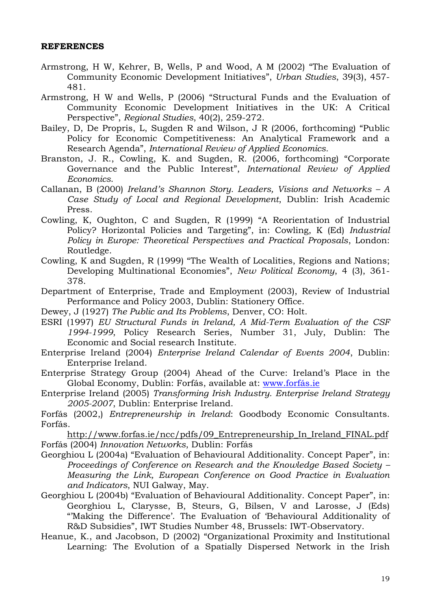#### **REFERENCES**

- Armstrong, H W, Kehrer, B, Wells, P and Wood, A M (2002) "The Evaluation of Community Economic Development Initiatives", *Urban Studies*, 39(3), 457- 481.
- Armstrong, H W and Wells, P (2006) "Structural Funds and the Evaluation of Community Economic Development Initiatives in the UK: A Critical Perspective", *Regional Studies*, 40(2), 259-272.
- Bailey, D, De Propris, L, Sugden R and Wilson, J R (2006, forthcoming) "Public Policy for Economic Competitiveness: An Analytical Framework and a Research Agenda", *International Review of Applied Economics.*
- Branston, J. R., Cowling, K. and Sugden, R. (2006, forthcoming) "Corporate Governance and the Public Interest", *International Review of Applied Economics*.
- Callanan, B (2000) *Ireland's Shannon Story. Leaders, Visions and Networks – A Case Study of Local and Regional Development*, Dublin: Irish Academic Press.
- Cowling, K, Oughton, C and Sugden, R (1999) "A Reorientation of Industrial Policy? Horizontal Policies and Targeting", in: Cowling, K (Ed) *Industrial Policy in Europe: Theoretical Perspectives and Practical Proposals*, London: Routledge.
- Cowling, K and Sugden, R (1999) "The Wealth of Localities, Regions and Nations; Developing Multinational Economies", *New Political Economy*, 4 (3), 361- 378.
- Department of Enterprise, Trade and Employment (2003), Review of Industrial Performance and Policy 2003, Dublin: Stationery Office.
- Dewey, J (1927) *The Public and Its Problems*, Denver, CO: Holt.
- ESRI (1997) *EU Structural Funds in Ireland, A Mid-Term Evaluation of the CSF 1994-1999*, Policy Research Series, Number 31, July, Dublin: The Economic and Social research Institute.
- Enterprise Ireland (2004) *Enterprise Ireland Calendar of Events 2004*, Dublin: Enterprise Ireland.
- Enterprise Strategy Group (2004) Ahead of the Curve: Ireland's Place in the Global Economy, Dublin: Forfás, available at: [www.forfás.ie](http://www.forfás.ie/)
- Enterprise Ireland (2005) *Transforming Irish Industry. Enterprise Ireland Strategy 2005-2007*, Dublin: Enterprise Ireland.

Forfás (2002,) *Entrepreneurship in Ireland*: Goodbody Economic Consultants. Forfás.

http://www.forfas.ie/ncc/pdfs/09\_Entrepreneurship\_In\_Ireland\_FINAL.pdf Forfás (2004) *Innovation Networks*, Dublin: Forfás

- Georghiou L (2004a) "Evaluation of Behavioural Additionality. Concept Paper", in: *Proceedings of Conference on Research and the Knowledge Based Society – Measuring the Link, European Conference on Good Practice in Evaluation and Indicators*, NUI Galway, May.
- Georghiou L (2004b) "Evaluation of Behavioural Additionality. Concept Paper", in: Georghiou L, Clarysse, B, Steurs, G, Bilsen, V and Larosse, J (Eds) "'Making the Difference'. The Evaluation of 'Behavioural Additionality of R&D Subsidies", IWT Studies Number 48, Brussels: IWT-Observatory.
- Heanue, K., and Jacobson, D (2002) "Organizational Proximity and Institutional Learning: The Evolution of a Spatially Dispersed Network in the Irish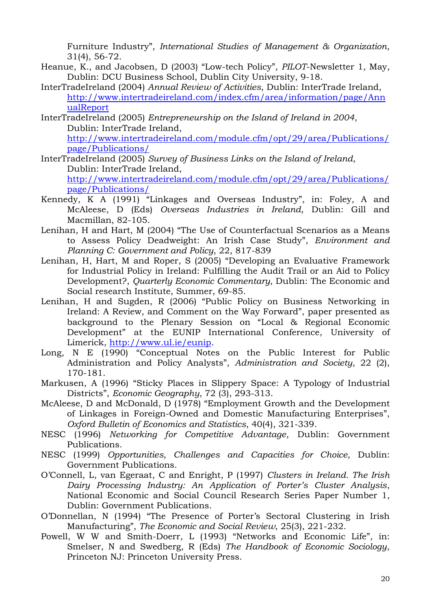Furniture Industry", *International Studies of Management & Organization*, 31(4), 56-72.

- Heanue, K., and Jacobsen, D (2003) "Low-tech Policy", *PILOT*-Newsletter 1, May, Dublin: DCU Business School, Dublin City University, 9-18.
- InterTradeIreland (2004) *Annual Review of Activities*, Dublin: InterTrade Ireland, http://www.intertradeireland.com/index.cfm/area/information/page/Ann ualReport
- InterTradeIreland (2005) *Entrepreneurship on the Island of Ireland in 2004*, Dublin: InterTrade Ireland,

[http://www.intertradeireland.com/module.cfm/opt/29/area/Publications/](http://www.intertradeireland.com/module.cfm/opt/29/area/Publications/page/Publications/) [page/Publications/](http://www.intertradeireland.com/module.cfm/opt/29/area/Publications/page/Publications/)

InterTradeIreland (2005) *Survey of Business Links on the Island of Ireland*, Dublin: InterTrade Ireland,

http://www.intertradeireland.com/module.cfm/opt/29/area/Publications/ page/Publications/

- Kennedy, K A (1991) "Linkages and Overseas Industry", in: Foley, A and McAleese, D (Eds) *Overseas Industries in Ireland*, Dublin: Gill and Macmillan, 82-105.
- Lenihan, H and Hart, M (2004) "The Use of Counterfactual Scenarios as a Means to Assess Policy Deadweight: An Irish Case Study", *Environment and Planning C: Government and Policy*, 22, 817-839
- Lenihan, H, Hart, M and Roper, S (2005) "Developing an Evaluative Framework for Industrial Policy in Ireland: Fulfilling the Audit Trail or an Aid to Policy Development?, *Quarterly Economic Commentary*, Dublin: The Economic and Social research Institute, Summer, 69-85.
- Lenihan, H and Sugden, R (2006) "Public Policy on Business Networking in Ireland: A Review, and Comment on the Way Forward", paper presented as background to the Plenary Session on "Local & Regional Economic Development" at the EUNIP International Conference, University of Limerick, [http://www.ul.ie/eunip.](http://www.ul.ie/eunip)
- Long, N E (1990) "Conceptual Notes on the Public Interest for Public Administration and Policy Analysts", *Administration and Society*, 22 (2), 170-181.
- Markusen, A (1996) "Sticky Places in Slippery Space: A Typology of Industrial Districts", *Economic Geography*, 72 (3), 293-313.
- McAleese, D and McDonald, D (1978) "Employment Growth and the Development of Linkages in Foreign-Owned and Domestic Manufacturing Enterprises", *Oxford Bulletin of Economics and Statistics*, 40(4), 321-339.
- NESC (1996) *Networking for Competitive Advantage*, Dublin: Government Publications.
- NESC (1999) *Opportunities, Challenges and Capacities for Choice*, Dublin: Government Publications.
- O'Connell, L, van Egeraat, C and Enright, P (1997) *Clusters in Ireland. The Irish Dairy Processing Industry: An Application of Porter's Cluster Analysis*, National Economic and Social Council Research Series Paper Number 1, Dublin: Government Publications.
- O'Donnellan, N (1994) "The Presence of Porter's Sectoral Clustering in Irish Manufacturing", *The Economic and Social Review*, 25(3), 221-232.
- Powell, W W and Smith-Doerr, L (1993) "Networks and Economic Life", in: Smelser, N and Swedberg, R (Eds) *The Handbook of Economic Sociology*, Princeton NJ: Princeton University Press.